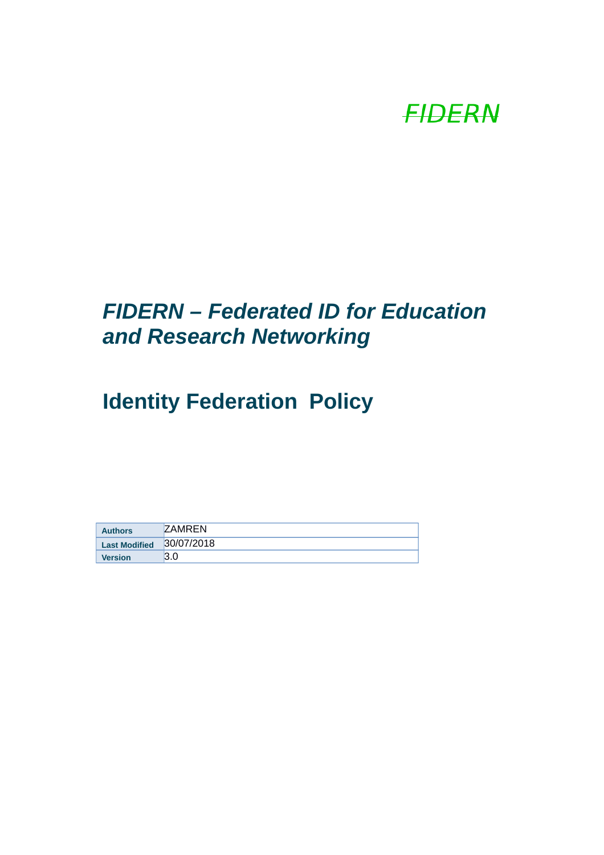

# *FIDERN – Federated ID for Education and Research Networking*

# **Identity Federation Policy**

| <b>Authors</b>       | <b>ZAMREN</b> |
|----------------------|---------------|
| <b>Last Modified</b> | 30/07/2018    |
| <b>Version</b>       | 3.0           |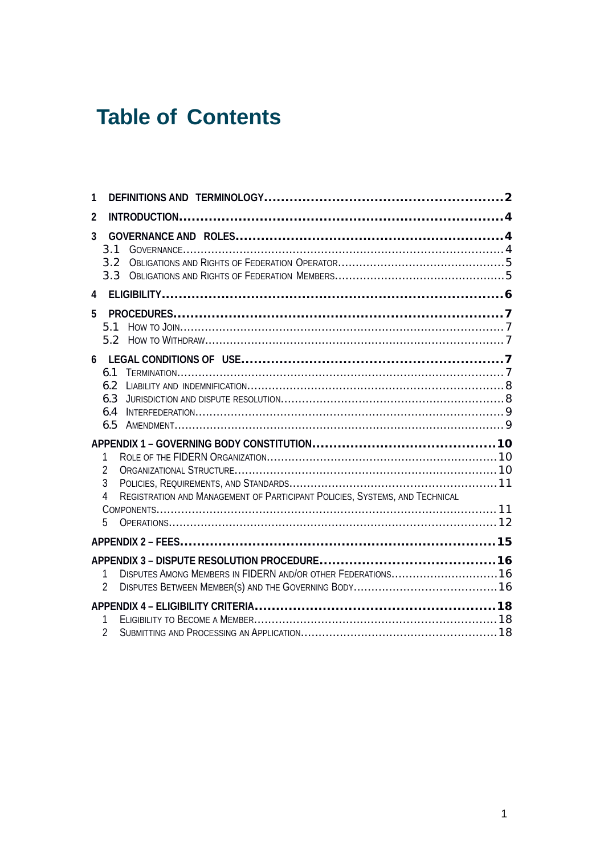# **Table of Contents**

| 1 |                                                                                                              |  |
|---|--------------------------------------------------------------------------------------------------------------|--|
| 2 |                                                                                                              |  |
| 3 | 3.1<br>3.2                                                                                                   |  |
|   | 3.3                                                                                                          |  |
| 4 |                                                                                                              |  |
| 5 |                                                                                                              |  |
| 6 |                                                                                                              |  |
|   | 6.1<br>6.2<br>6.3<br>6.4                                                                                     |  |
|   | 6.5                                                                                                          |  |
|   | 1<br>$\overline{2}$<br>3<br>REGISTRATION AND MANAGEMENT OF PARTICIPANT POLICIES, SYSTEMS, AND TECHNICAL<br>4 |  |
|   | 5                                                                                                            |  |
|   |                                                                                                              |  |
|   | DISPUTES AMONG MEMBERS IN FIDERN AND/OR OTHER FEDERATIONS16<br>1<br>$\overline{2}$                           |  |
|   | 1<br>$\overline{c}$                                                                                          |  |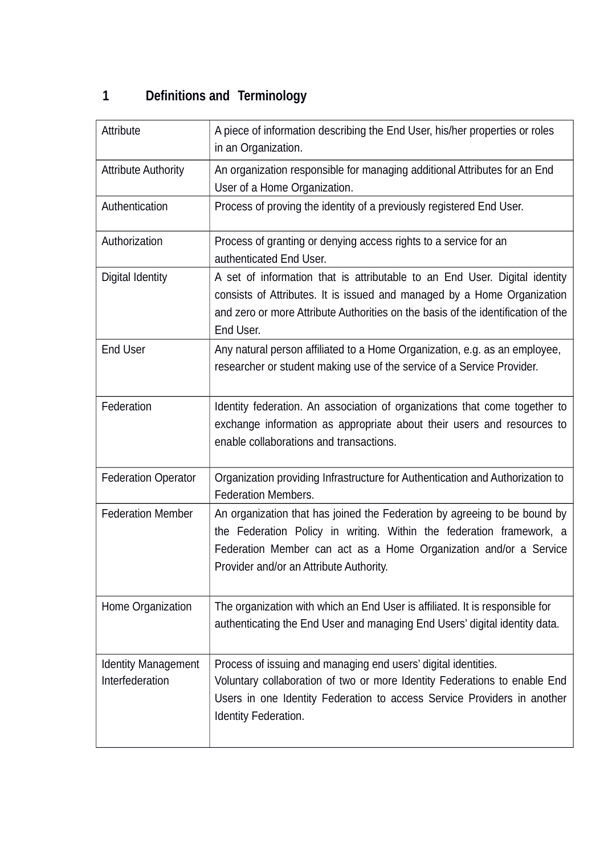# **1 Definitions and Terminology**

| Attribute                                     | A piece of information describing the End User, his/her properties or roles<br>in an Organization.                                                                                                                                                                |
|-----------------------------------------------|-------------------------------------------------------------------------------------------------------------------------------------------------------------------------------------------------------------------------------------------------------------------|
| <b>Attribute Authority</b>                    | An organization responsible for managing additional Attributes for an End<br>User of a Home Organization.                                                                                                                                                         |
| Authentication                                | Process of proving the identity of a previously registered End User.                                                                                                                                                                                              |
| Authorization                                 | Process of granting or denying access rights to a service for an<br>authenticated End User.                                                                                                                                                                       |
| Digital Identity                              | A set of information that is attributable to an End User. Digital identity<br>consists of Attributes. It is issued and managed by a Home Organization<br>and zero or more Attribute Authorities on the basis of the identification of the<br>End User.            |
| <b>End User</b>                               | Any natural person affiliated to a Home Organization, e.g. as an employee,<br>researcher or student making use of the service of a Service Provider.                                                                                                              |
| Federation                                    | Identity federation. An association of organizations that come together to<br>exchange information as appropriate about their users and resources to<br>enable collaborations and transactions.                                                                   |
| <b>Federation Operator</b>                    | Organization providing Infrastructure for Authentication and Authorization to<br><b>Federation Members.</b>                                                                                                                                                       |
| <b>Federation Member</b>                      | An organization that has joined the Federation by agreeing to be bound by<br>the Federation Policy in writing. Within the federation framework, a<br>Federation Member can act as a Home Organization and/or a Service<br>Provider and/or an Attribute Authority. |
| Home Organization                             | The organization with which an End User is affiliated. It is responsible for<br>authenticating the End User and managing End Users' digital identity data.                                                                                                        |
| <b>Identity Management</b><br>Interfederation | Process of issuing and managing end users' digital identities.<br>Voluntary collaboration of two or more Identity Federations to enable End<br>Users in one Identity Federation to access Service Providers in another<br>Identity Federation.                    |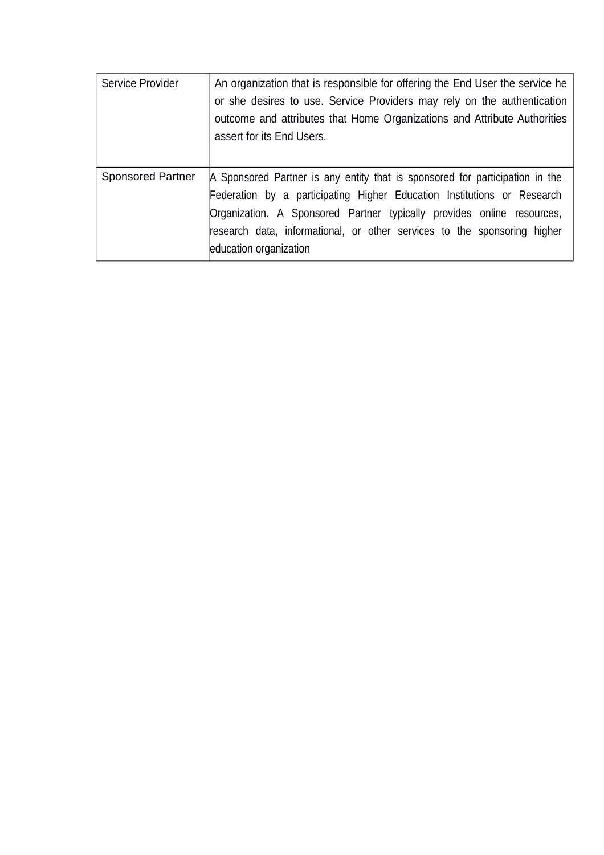| Service Provider         | An organization that is responsible for offering the End User the service he<br>or she desires to use. Service Providers may rely on the authentication<br>outcome and attributes that Home Organizations and Attribute Authorities<br>assert for its End Users.                                                                        |
|--------------------------|-----------------------------------------------------------------------------------------------------------------------------------------------------------------------------------------------------------------------------------------------------------------------------------------------------------------------------------------|
| <b>Sponsored Partner</b> | A Sponsored Partner is any entity that is sponsored for participation in the<br>Federation by a participating Higher Education Institutions or Research<br>Organization. A Sponsored Partner typically provides online resources,<br>research data, informational, or other services to the sponsoring higher<br>education organization |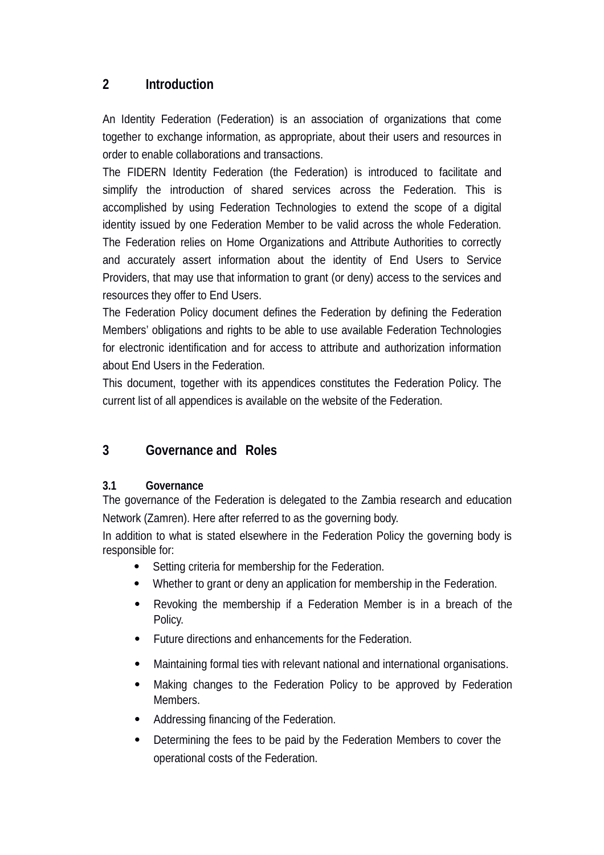# **2 Introduction**

An Identity Federation (Federation) is an association of organizations that come together to exchange information, as appropriate, about their users and resources in order to enable collaborations and transactions.

The FIDERN Identity Federation (the Federation) is introduced to facilitate and simplify the introduction of shared services across the Federation. This is accomplished by using Federation Technologies to extend the scope of a digital identity issued by one Federation Member to be valid across the whole Federation. The Federation relies on Home Organizations and Attribute Authorities to correctly and accurately assert information about the identity of End Users to Service Providers, that may use that information to grant (or deny) access to the services and resources they offer to End Users.

The Federation Policy document defines the Federation by defining the Federation Members' obligations and rights to be able to use available Federation Technologies for electronic identification and for access to attribute and authorization information about End Users in the Federation.

This document, together with its appendices constitutes the Federation Policy. The current list of all appendices is available on the website of the Federation.

# **3 Governance and Roles**

#### **3.1 Governance**

The governance of the Federation is delegated to the Zambia research and education Network (Zamren). Here after referred to as the governing body.

In addition to what is stated elsewhere in the Federation Policy the governing body is responsible for:

- Setting criteria for membership for the Federation.
- Whether to grant or deny an application for membership in the Federation.
- Revoking the membership if a Federation Member is in a breach of the Policy.
- Future directions and enhancements for the Federation.
- Maintaining formal ties with relevant national and international organisations.
- Making changes to the Federation Policy to be approved by Federation Members.
- Addressing financing of the Federation.
- Determining the fees to be paid by the Federation Members to cover the operational costs of the Federation.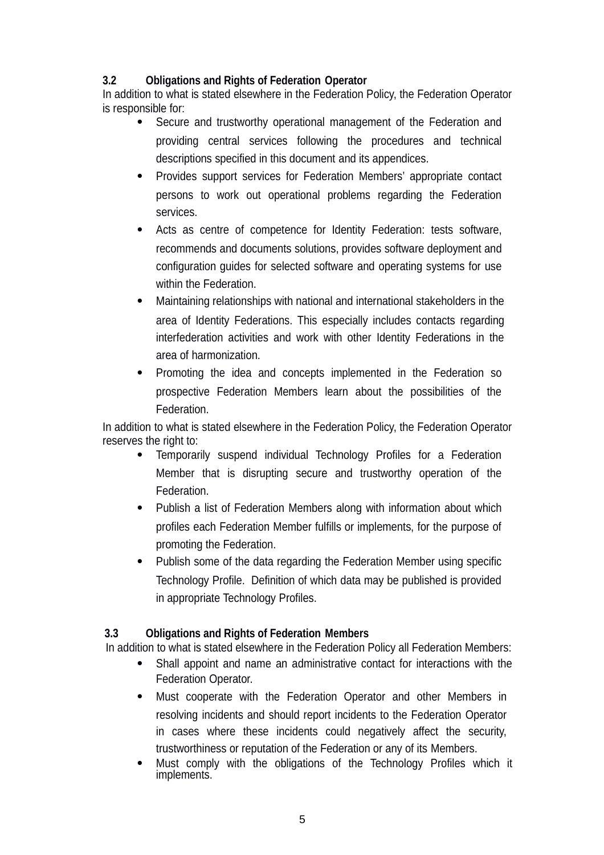#### **3.2 Obligations and Rights of Federation Operator**

In addition to what is stated elsewhere in the Federation Policy, the Federation Operator is responsible for:

- Secure and trustworthy operational management of the Federation and providing central services following the procedures and technical descriptions specified in this document and its appendices.
- Provides support services for Federation Members' appropriate contact persons to work out operational problems regarding the Federation services.
- Acts as centre of competence for Identity Federation: tests software, recommends and documents solutions, provides software deployment and configuration guides for selected software and operating systems for use within the Federation.
- Maintaining relationships with national and international stakeholders in the area of Identity Federations. This especially includes contacts regarding interfederation activities and work with other Identity Federations in the area of harmonization.
- Promoting the idea and concepts implemented in the Federation so prospective Federation Members learn about the possibilities of the Federation.

In addition to what is stated elsewhere in the Federation Policy, the Federation Operator reserves the right to:

- Temporarily suspend individual Technology Profiles for a Federation Member that is disrupting secure and trustworthy operation of the Federation.
- Publish a list of Federation Members along with information about which profiles each Federation Member fulfills or implements, for the purpose of promoting the Federation.
- Publish some of the data regarding the Federation Member using specific Technology Profile. Definition of which data may be published is provided in appropriate Technology Profiles.

#### **3.3 Obligations and Rights of Federation Members**

In addition to what is stated elsewhere in the Federation Policy all Federation Members:

- Shall appoint and name an administrative contact for interactions with the Federation Operator.
- Must cooperate with the Federation Operator and other Members in resolving incidents and should report incidents to the Federation Operator in cases where these incidents could negatively affect the security, trustworthiness or reputation of the Federation or any of its Members.
- Must comply with the obligations of the Technology Profiles which it implements.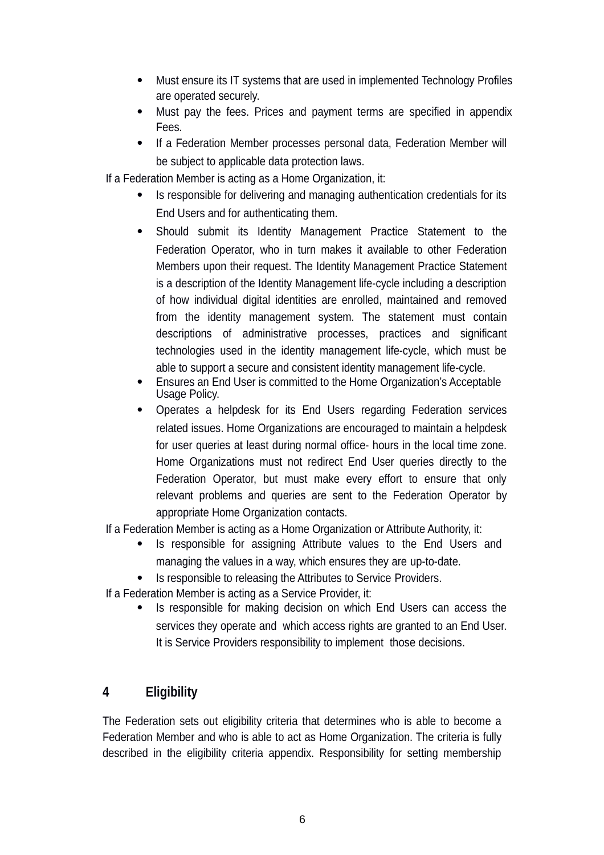- Must ensure its IT systems that are used in implemented Technology Profiles are operated securely.
- Must pay the fees. Prices and payment terms are specified in appendix Fees.
- If a Federation Member processes personal data, Federation Member will be subject to applicable data protection laws.

If a Federation Member is acting as a Home Organization, it:

- Is responsible for delivering and managing authentication credentials for its End Users and for authenticating them.
- Should submit its Identity Management Practice Statement to the Federation Operator, who in turn makes it available to other Federation Members upon their request. The Identity Management Practice Statement is a description of the Identity Management life-cycle including a description of how individual digital identities are enrolled, maintained and removed from the identity management system. The statement must contain descriptions of administrative processes, practices and significant technologies used in the identity management life-cycle, which must be able to support a secure and consistent identity management life-cycle.
- Ensures an End User is committed to the Home Organization's Acceptable Usage Policy.
- Operates a helpdesk for its End Users regarding Federation services related issues. Home Organizations are encouraged to maintain a helpdesk for user queries at least during normal office- hours in the local time zone. Home Organizations must not redirect End User queries directly to the Federation Operator, but must make every effort to ensure that only relevant problems and queries are sent to the Federation Operator by appropriate Home Organization contacts.

If a Federation Member is acting as a Home Organization or Attribute Authority, it:

- Is responsible for assigning Attribute values to the End Users and managing the values in a way, which ensures they are up-to-date.
- Is responsible to releasing the Attributes to Service Providers.

If a Federation Member is acting as a Service Provider, it:

• Is responsible for making decision on which End Users can access the services they operate and which access rights are granted to an End User. It is Service Providers responsibility to implement those decisions.

# **4 Eligibility**

The Federation sets out eligibility criteria that determines who is able to become a Federation Member and who is able to act as Home Organization. The criteria is fully described in the eligibility criteria appendix. Responsibility for setting membership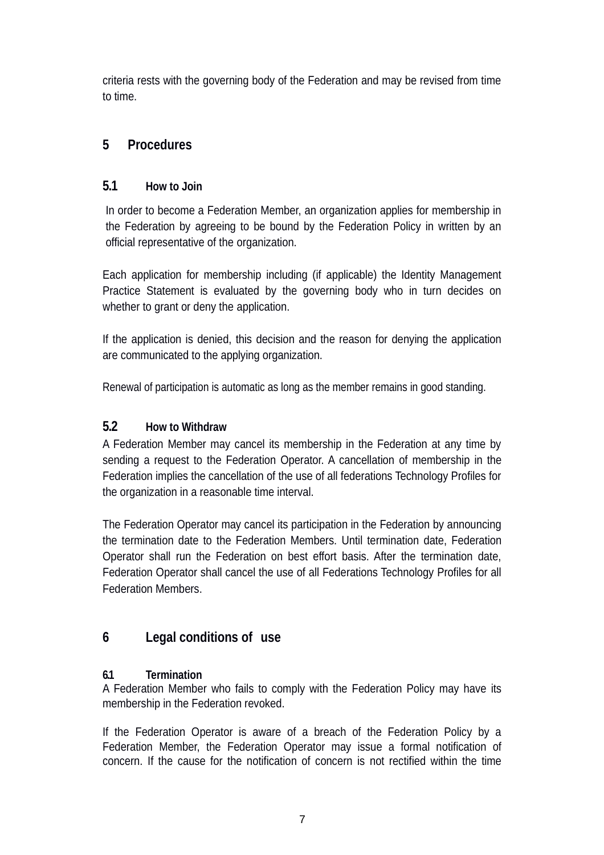criteria rests with the governing body of the Federation and may be revised from time to time.

# **5 Procedures**

# **5.1 How to Join**

In order to become a Federation Member, an organization applies for membership in the Federation by agreeing to be bound by the Federation Policy in written by an official representative of the organization.

Each application for membership including (if applicable) the Identity Management Practice Statement is evaluated by the governing body who in turn decides on whether to grant or deny the application.

If the application is denied, this decision and the reason for denying the application are communicated to the applying organization.

Renewal of participation is automatic as long as the member remains in good standing.

# **5.2 How to Withdraw**

A Federation Member may cancel its membership in the Federation at any time by sending a request to the Federation Operator. A cancellation of membership in the Federation implies the cancellation of the use of all federations Technology Profiles for the organization in a reasonable time interval.

The Federation Operator may cancel its participation in the Federation by announcing the termination date to the Federation Members. Until termination date, Federation Operator shall run the Federation on best effort basis. After the termination date, Federation Operator shall cancel the use of all Federations Technology Profiles for all Federation Members.

# **6 Legal conditions of use**

# **6.1 Termination**

A Federation Member who fails to comply with the Federation Policy may have its membership in the Federation revoked.

If the Federation Operator is aware of a breach of the Federation Policy by a Federation Member, the Federation Operator may issue a formal notification of concern. If the cause for the notification of concern is not rectified within the time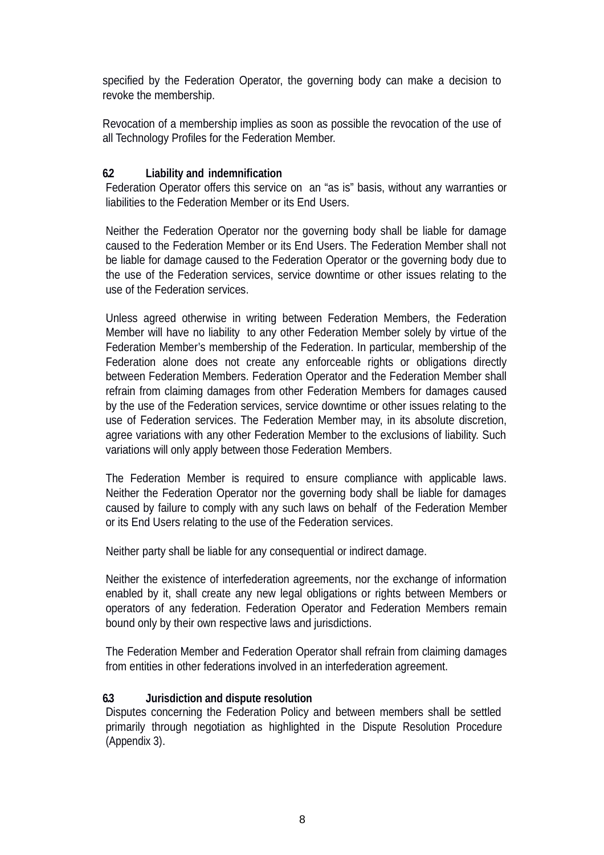specified by the Federation Operator, the governing body can make a decision to revoke the membership.

Revocation of a membership implies as soon as possible the revocation of the use of all Technology Profiles for the Federation Member.

#### **6.2 Liability and indemnification**

Federation Operator offers this service on an "as is" basis, without any warranties or liabilities to the Federation Member or its End Users.

Neither the Federation Operator nor the governing body shall be liable for damage caused to the Federation Member or its End Users. The Federation Member shall not be liable for damage caused to the Federation Operator or the governing body due to the use of the Federation services, service downtime or other issues relating to the use of the Federation services.

Unless agreed otherwise in writing between Federation Members, the Federation Member will have no liability to any other Federation Member solely by virtue of the Federation Member's membership of the Federation. In particular, membership of the Federation alone does not create any enforceable rights or obligations directly between Federation Members. Federation Operator and the Federation Member shall refrain from claiming damages from other Federation Members for damages caused by the use of the Federation services, service downtime or other issues relating to the use of Federation services. The Federation Member may, in its absolute discretion, agree variations with any other Federation Member to the exclusions of liability. Such variations will only apply between those Federation Members.

The Federation Member is required to ensure compliance with applicable laws. Neither the Federation Operator nor the governing body shall be liable for damages caused by failure to comply with any such laws on behalf of the Federation Member or its End Users relating to the use of the Federation services.

Neither party shall be liable for any consequential or indirect damage.

Neither the existence of interfederation agreements, nor the exchange of information enabled by it, shall create any new legal obligations or rights between Members or operators of any federation. Federation Operator and Federation Members remain bound only by their own respective laws and jurisdictions.

The Federation Member and Federation Operator shall refrain from claiming damages from entities in other federations involved in an interfederation agreement.

#### **6.3 Jurisdiction and dispute resolution**

Disputes concerning the Federation Policy and between members shall be settled primarily through negotiation as highlighted in the Dispute Resolution Procedure (Appendix 3).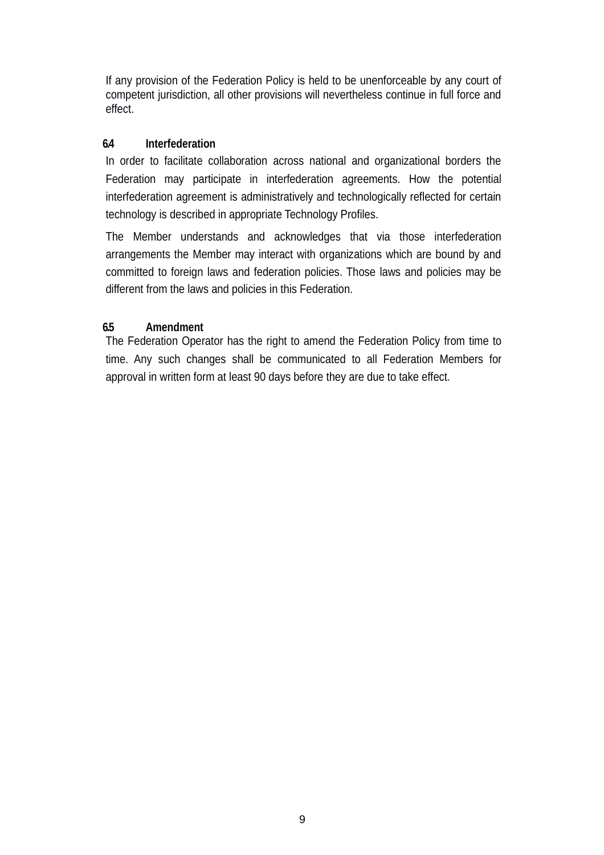If any provision of the Federation Policy is held to be unenforceable by any court of competent jurisdiction, all other provisions will nevertheless continue in full force and effect.

#### **6.4 Interfederation**

In order to facilitate collaboration across national and organizational borders the Federation may participate in interfederation agreements. How the potential interfederation agreement is administratively and technologically reflected for certain technology is described in appropriate Technology Profiles.

The Member understands and acknowledges that via those interfederation arrangements the Member may interact with organizations which are bound by and committed to foreign laws and federation policies. Those laws and policies may be different from the laws and policies in this Federation.

### **6.5 Amendment**

The Federation Operator has the right to amend the Federation Policy from time to time. Any such changes shall be communicated to all Federation Members for approval in written form at least 90 days before they are due to take effect.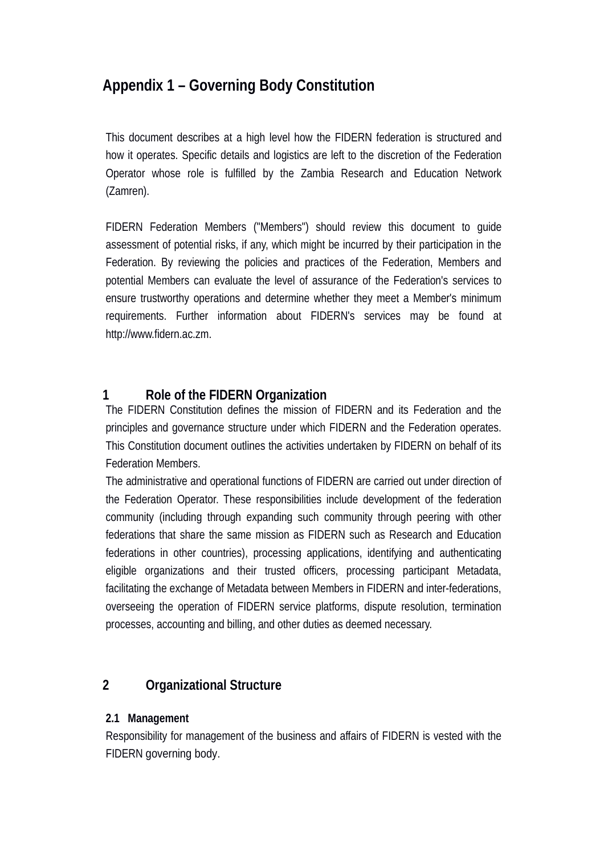# **Appendix 1 – Governing Body Constitution**

This document describes at a high level how the FIDERN federation is structured and how it operates. Specific details and logistics are left to the discretion of the Federation Operator whose role is fulfilled by the Zambia Research and Education Network (Zamren).

FIDERN Federation Members ("Members") should review this document to guide assessment of potential risks, if any, which might be incurred by their participation in the Federation. By reviewing the policies and practices of the Federation, Members and potential Members can evaluate the level of assurance of the Federation's services to ensure trustworthy operations and determine whether they meet a Member's minimum requirements. Further information about FIDERN's services may be found at http://www.fidern.ac.zm.

# **1 Role of the FIDERN Organization**

The FIDERN Constitution defines the mission of FIDERN and its Federation and the principles and governance structure under which FIDERN and the Federation operates. This Constitution document outlines the activities undertaken by FIDERN on behalf of its Federation Members.

The administrative and operational functions of FIDERN are carried out under direction of the Federation Operator. These responsibilities include development of the federation community (including through expanding such community through peering with other federations that share the same mission as FIDERN such as Research and Education federations in other countries), processing applications, identifying and authenticating eligible organizations and their trusted officers, processing participant Metadata, facilitating the exchange of Metadata between Members in FIDERN and inter-federations, overseeing the operation of FIDERN service platforms, dispute resolution, termination processes, accounting and billing, and other duties as deemed necessary.

# **2 Organizational Structure**

#### **2.1 Management**

Responsibility for management of the business and affairs of FIDERN is vested with the FIDERN governing body.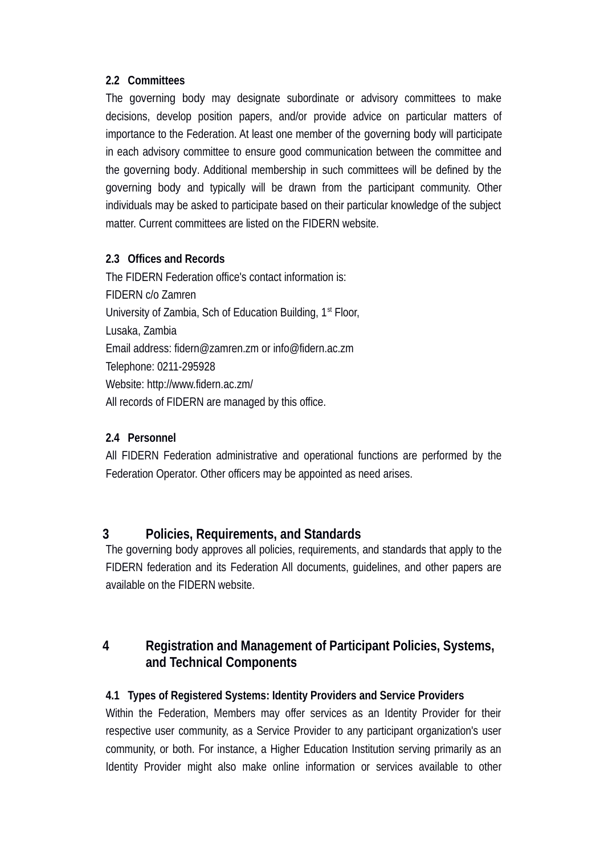#### **2.2 Committees**

The governing body may designate subordinate or advisory committees to make decisions, develop position papers, and/or provide advice on particular matters of importance to the Federation. At least one member of the governing body will participate in each advisory committee to ensure good communication between the committee and the governing body. Additional membership in such committees will be defined by the governing body and typically will be drawn from the participant community. Other individuals may be asked to participate based on their particular knowledge of the subject matter. Current committees are listed on the FIDERN website.

### **2.3 Offices and Records**

The FIDERN Federation office's contact information is: FIDERN c/o Zamren University of Zambia, Sch of Education Building,  $1<sup>st</sup>$  Floor, Lusaka, Zambia Email address: fidern@zamren.zm or info@fidern.ac.zm Telephone: 0211-295928 Website: http://www.fidern.ac.zm/ All records of FIDERN are managed by this office.

#### **2.4 Personnel**

All FIDERN Federation administrative and operational functions are performed by the Federation Operator. Other officers may be appointed as need arises.

# **3 Policies, Requirements, and Standards**

The governing body approves all policies, requirements, and standards that apply to the FIDERN federation and its Federation All documents, guidelines, and other papers are available on the FIDERN website.

# **4 Registration and Management of Participant Policies, Systems, and Technical Components**

#### **4.1 Types of Registered Systems: Identity Providers and Service Providers**

Within the Federation, Members may offer services as an Identity Provider for their respective user community, as a Service Provider to any participant organization's user community, or both. For instance, a Higher Education Institution serving primarily as an Identity Provider might also make online information or services available to other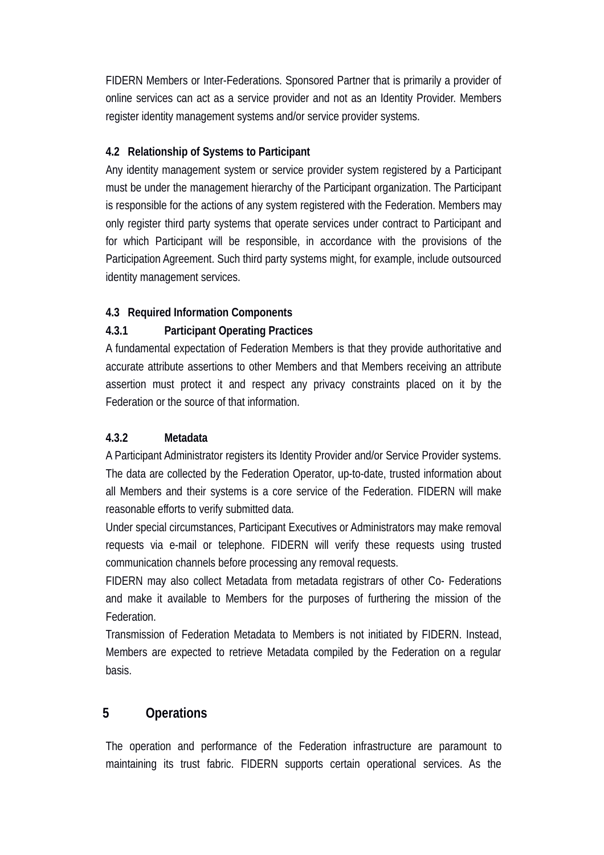FIDERN Members or Inter-Federations. Sponsored Partner that is primarily a provider of online services can act as a service provider and not as an Identity Provider. Members register identity management systems and/or service provider systems.

#### **4.2 Relationship of Systems to Participant**

Any identity management system or service provider system registered by a Participant must be under the management hierarchy of the Participant organization. The Participant is responsible for the actions of any system registered with the Federation. Members may only register third party systems that operate services under contract to Participant and for which Participant will be responsible, in accordance with the provisions of the Participation Agreement. Such third party systems might, for example, include outsourced identity management services.

#### **4.3 Required Information Components**

#### **4.3.1 Participant Operating Practices**

A fundamental expectation of Federation Members is that they provide authoritative and accurate attribute assertions to other Members and that Members receiving an attribute assertion must protect it and respect any privacy constraints placed on it by the Federation or the source of that information.

#### **4.3.2 Metadata**

A Participant Administrator registers its Identity Provider and/or Service Provider systems. The data are collected by the Federation Operator, up-to-date, trusted information about all Members and their systems is a core service of the Federation. FIDERN will make reasonable efforts to verify submitted data.

Under special circumstances, Participant Executives or Administrators may make removal requests via e-mail or telephone. FIDERN will verify these requests using trusted communication channels before processing any removal requests.

FIDERN may also collect Metadata from metadata registrars of other Co- Federations and make it available to Members for the purposes of furthering the mission of the Federation.

Transmission of Federation Metadata to Members is not initiated by FIDERN. Instead, Members are expected to retrieve Metadata compiled by the Federation on a regular basis.

# **5 Operations**

The operation and performance of the Federation infrastructure are paramount to maintaining its trust fabric. FIDERN supports certain operational services. As the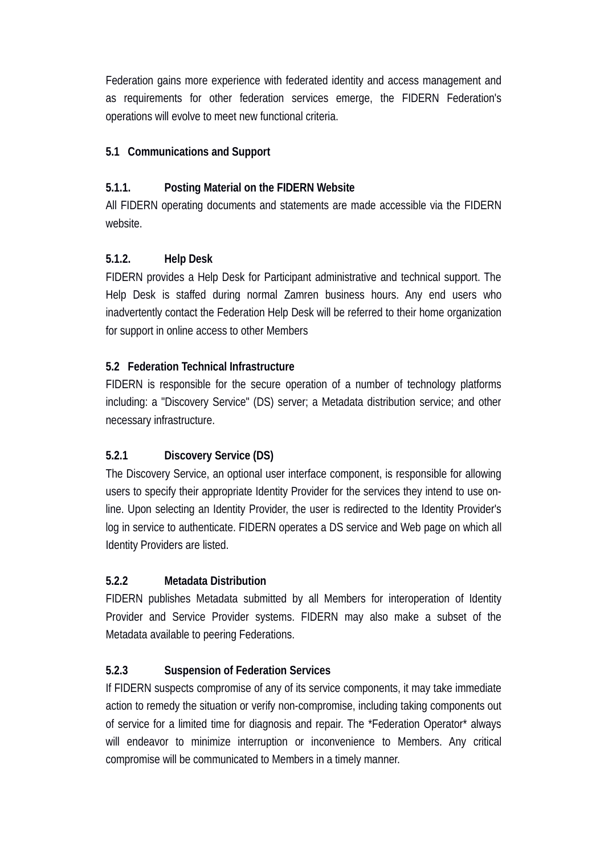Federation gains more experience with federated identity and access management and as requirements for other federation services emerge, the FIDERN Federation's operations will evolve to meet new functional criteria.

#### **5.1 Communications and Support**

### **5.1.1. Posting Material on the FIDERN Website**

All FIDERN operating documents and statements are made accessible via the FIDERN website.

### **5.1.2. Help Desk**

FIDERN provides a Help Desk for Participant administrative and technical support. The Help Desk is staffed during normal Zamren business hours. Any end users who inadvertently contact the Federation Help Desk will be referred to their home organization for support in online access to other Members

### **5.2 Federation Technical Infrastructure**

FIDERN is responsible for the secure operation of a number of technology platforms including: a "Discovery Service" (DS) server; a Metadata distribution service; and other necessary infrastructure.

# **5.2.1 Discovery Service (DS)**

The Discovery Service, an optional user interface component, is responsible for allowing users to specify their appropriate Identity Provider for the services they intend to use online. Upon selecting an Identity Provider, the user is redirected to the Identity Provider's log in service to authenticate. FIDERN operates a DS service and Web page on which all Identity Providers are listed.

#### **5.2.2 Metadata Distribution**

FIDERN publishes Metadata submitted by all Members for interoperation of Identity Provider and Service Provider systems. FIDERN may also make a subset of the Metadata available to peering Federations.

# **5.2.3 Suspension of Federation Services**

If FIDERN suspects compromise of any of its service components, it may take immediate action to remedy the situation or verify non-compromise, including taking components out of service for a limited time for diagnosis and repair. The \*Federation Operator\* always will endeavor to minimize interruption or inconvenience to Members. Any critical compromise will be communicated to Members in a timely manner.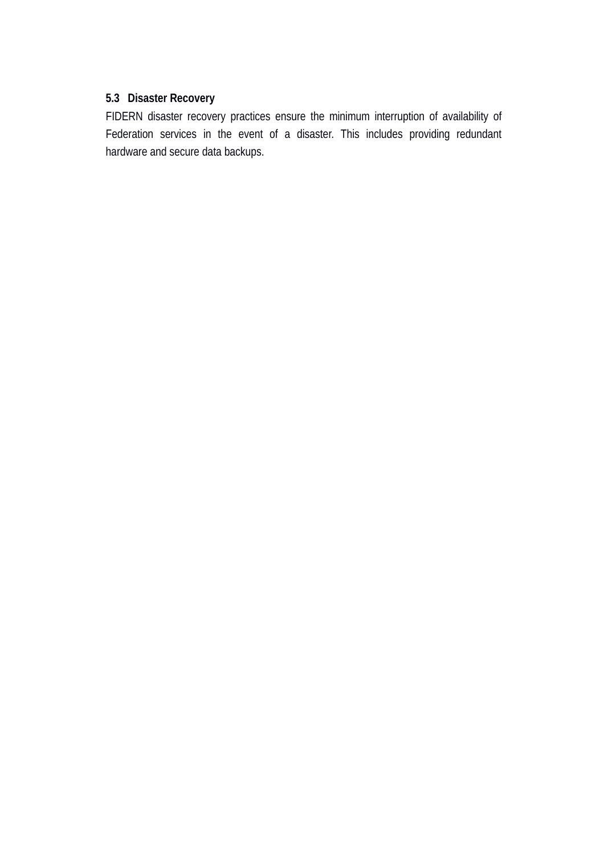#### **5.3 Disaster Recovery**

FIDERN disaster recovery practices ensure the minimum interruption of availability of Federation services in the event of a disaster. This includes providing redundant hardware and secure data backups.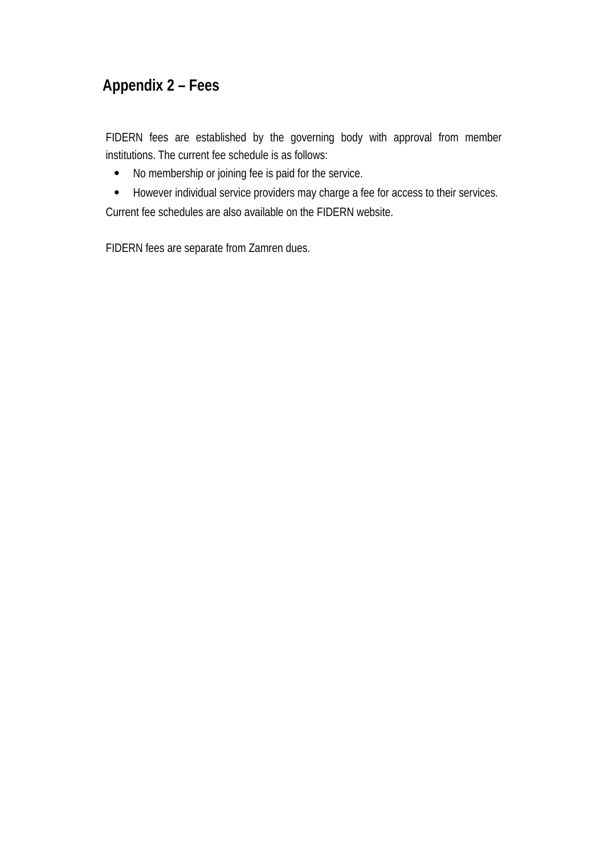# **Appendix 2 – Fees**

FIDERN fees are established by the governing body with approval from member institutions. The current fee schedule is as follows:

- No membership or joining fee is paid for the service.
- However individual service providers may charge a fee for access to their services.

Current fee schedules are also available on the FIDERN website.

FIDERN fees are separate from Zamren dues.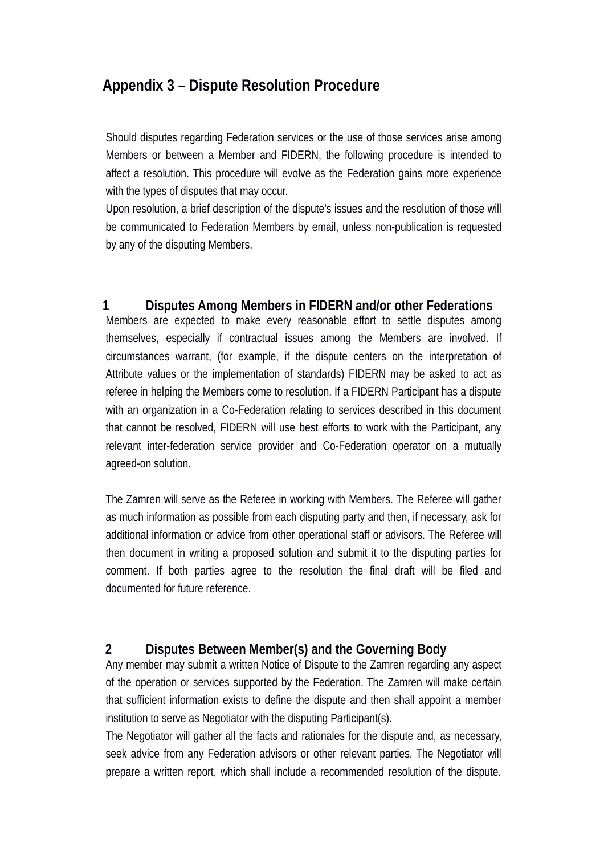# **Appendix 3 – Dispute Resolution Procedure**

Should disputes regarding Federation services or the use of those services arise among Members or between a Member and FIDERN, the following procedure is intended to affect a resolution. This procedure will evolve as the Federation gains more experience with the types of disputes that may occur.

Upon resolution, a brief description of the dispute's issues and the resolution of those will be communicated to Federation Members by email, unless non-publication is requested by any of the disputing Members.

#### **1 Disputes Among Members in FIDERN and/or other Federations**

Members are expected to make every reasonable effort to settle disputes among themselves, especially if contractual issues among the Members are involved. If circumstances warrant, (for example, if the dispute centers on the interpretation of Attribute values or the implementation of standards) FIDERN may be asked to act as referee in helping the Members come to resolution. If a FIDERN Participant has a dispute with an organization in a Co-Federation relating to services described in this document that cannot be resolved, FIDERN will use best efforts to work with the Participant, any relevant inter-federation service provider and Co-Federation operator on a mutually agreed-on solution.

The Zamren will serve as the Referee in working with Members. The Referee will gather as much information as possible from each disputing party and then, if necessary, ask for additional information or advice from other operational staff or advisors. The Referee will then document in writing a proposed solution and submit it to the disputing parties for comment. If both parties agree to the resolution the final draft will be filed and documented for future reference.

#### **2 Disputes Between Member(s) and the Governing Body**

Any member may submit a written Notice of Dispute to the Zamren regarding any aspect of the operation or services supported by the Federation. The Zamren will make certain that sufficient information exists to define the dispute and then shall appoint a member institution to serve as Negotiator with the disputing Participant(s).

The Negotiator will gather all the facts and rationales for the dispute and, as necessary, seek advice from any Federation advisors or other relevant parties. The Negotiator will prepare a written report, which shall include a recommended resolution of the dispute.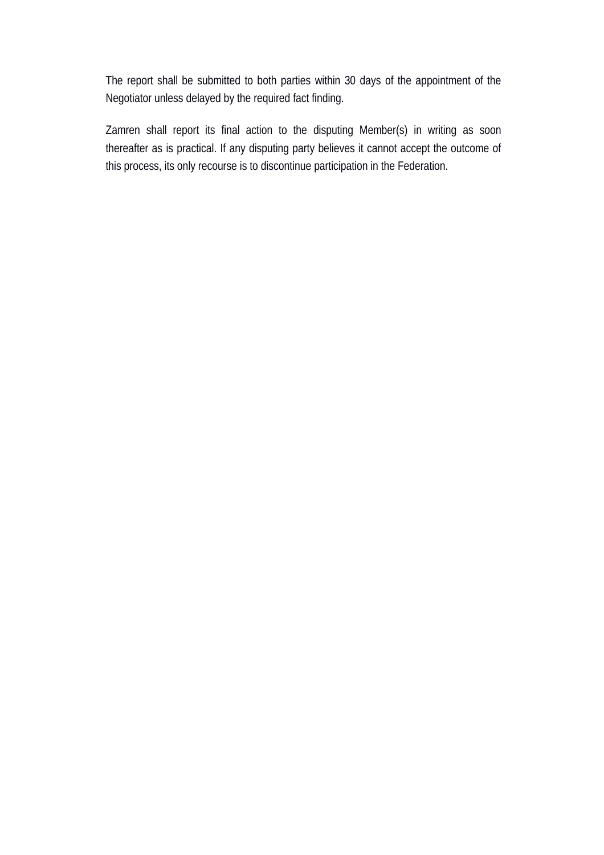The report shall be submitted to both parties within 30 days of the appointment of the Negotiator unless delayed by the required fact finding.

Zamren shall report its final action to the disputing Member(s) in writing as soon thereafter as is practical. If any disputing party believes it cannot accept the outcome of this process, its only recourse is to discontinue participation in the Federation.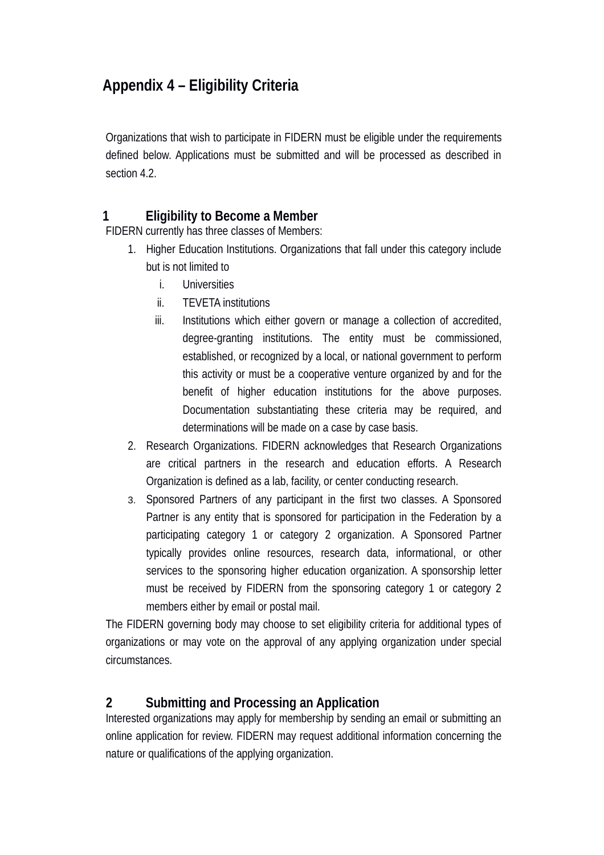# **Appendix 4 – Eligibility Criteria**

Organizations that wish to participate in FIDERN must be eligible under the requirements defined below. Applications must be submitted and will be processed as described in section 4.2.

# **1 Eligibility to Become a Member**

FIDERN currently has three classes of Members:

- 1. Higher Education Institutions. Organizations that fall under this category include but is not limited to
	- i. Universities
	- ii. TEVETA institutions
	- iii. Institutions which either govern or manage a collection of accredited, degree-granting institutions. The entity must be commissioned, established, or recognized by a local, or national government to perform this activity or must be a cooperative venture organized by and for the benefit of higher education institutions for the above purposes. Documentation substantiating these criteria may be required, and determinations will be made on a case by case basis.
- 2. Research Organizations. FIDERN acknowledges that Research Organizations are critical partners in the research and education efforts. A Research Organization is defined as a lab, facility, or center conducting research.
- 3. Sponsored Partners of any participant in the first two classes. A Sponsored Partner is any entity that is sponsored for participation in the Federation by a participating category 1 or category 2 organization. A Sponsored Partner typically provides online resources, research data, informational, or other services to the sponsoring higher education organization. A sponsorship letter must be received by FIDERN from the sponsoring category 1 or category 2 members either by email or postal mail.

The FIDERN governing body may choose to set eligibility criteria for additional types of organizations or may vote on the approval of any applying organization under special circumstances.

# **2 Submitting and Processing an Application**

Interested organizations may apply for membership by sending an email or submitting an online application for review. FIDERN may request additional information concerning the nature or qualifications of the applying organization.